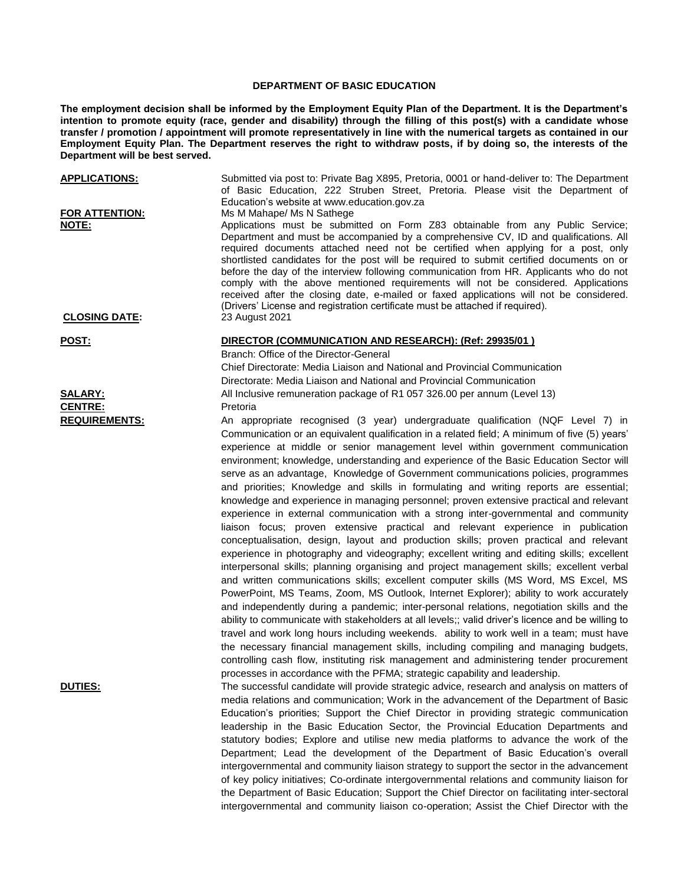## **DEPARTMENT OF BASIC EDUCATION**

**The employment decision shall be informed by the Employment Equity Plan of the Department. It is the Department's intention to promote equity (race, gender and disability) through the filling of this post(s) with a candidate whose transfer / promotion / appointment will promote representatively in line with the numerical targets as contained in our Employment Equity Plan. The Department reserves the right to withdraw posts, if by doing so, the interests of the Department will be best served.**

| <b>APPLICATIONS:</b><br>FOR ATTENTION: | Submitted via post to: Private Bag X895, Pretoria, 0001 or hand-deliver to: The Department<br>of Basic Education, 222 Struben Street, Pretoria. Please visit the Department of<br>Education's website at www.education.gov.za                                                                                                                                                                                                                                                                                                                                                                                                                                                                                                                                                                                                                                                                                                                                                                                                                                                                                                                                                                                                                                                                                                                                                                                                                                                                                                                                                                                                                                                                                                                                                                                                                              |
|----------------------------------------|------------------------------------------------------------------------------------------------------------------------------------------------------------------------------------------------------------------------------------------------------------------------------------------------------------------------------------------------------------------------------------------------------------------------------------------------------------------------------------------------------------------------------------------------------------------------------------------------------------------------------------------------------------------------------------------------------------------------------------------------------------------------------------------------------------------------------------------------------------------------------------------------------------------------------------------------------------------------------------------------------------------------------------------------------------------------------------------------------------------------------------------------------------------------------------------------------------------------------------------------------------------------------------------------------------------------------------------------------------------------------------------------------------------------------------------------------------------------------------------------------------------------------------------------------------------------------------------------------------------------------------------------------------------------------------------------------------------------------------------------------------------------------------------------------------------------------------------------------------|
| NOTE:                                  | Ms M Mahape/ Ms N Sathege<br>Applications must be submitted on Form Z83 obtainable from any Public Service;<br>Department and must be accompanied by a comprehensive CV, ID and qualifications. All<br>required documents attached need not be certified when applying for a post, only<br>shortlisted candidates for the post will be required to submit certified documents on or<br>before the day of the interview following communication from HR. Applicants who do not<br>comply with the above mentioned requirements will not be considered. Applications<br>received after the closing date, e-mailed or faxed applications will not be considered.<br>(Drivers' License and registration certificate must be attached if required).                                                                                                                                                                                                                                                                                                                                                                                                                                                                                                                                                                                                                                                                                                                                                                                                                                                                                                                                                                                                                                                                                                             |
| <b>CLOSING DATE:</b>                   | 23 August 2021                                                                                                                                                                                                                                                                                                                                                                                                                                                                                                                                                                                                                                                                                                                                                                                                                                                                                                                                                                                                                                                                                                                                                                                                                                                                                                                                                                                                                                                                                                                                                                                                                                                                                                                                                                                                                                             |
| <u>POST:</u>                           | DIRECTOR (COMMUNICATION AND RESEARCH): (Ref: 29935/01)<br>Branch: Office of the Director-General<br>Chief Directorate: Media Liaison and National and Provincial Communication<br>Directorate: Media Liaison and National and Provincial Communication                                                                                                                                                                                                                                                                                                                                                                                                                                                                                                                                                                                                                                                                                                                                                                                                                                                                                                                                                                                                                                                                                                                                                                                                                                                                                                                                                                                                                                                                                                                                                                                                     |
| <b>SALARY:</b>                         | All Inclusive remuneration package of R1 057 326.00 per annum (Level 13)                                                                                                                                                                                                                                                                                                                                                                                                                                                                                                                                                                                                                                                                                                                                                                                                                                                                                                                                                                                                                                                                                                                                                                                                                                                                                                                                                                                                                                                                                                                                                                                                                                                                                                                                                                                   |
| <b>CENTRE:</b>                         | Pretoria                                                                                                                                                                                                                                                                                                                                                                                                                                                                                                                                                                                                                                                                                                                                                                                                                                                                                                                                                                                                                                                                                                                                                                                                                                                                                                                                                                                                                                                                                                                                                                                                                                                                                                                                                                                                                                                   |
| <b>REQUIREMENTS:</b>                   | An appropriate recognised (3 year) undergraduate qualification (NQF Level 7) in<br>Communication or an equivalent qualification in a related field; A minimum of five (5) years'<br>experience at middle or senior management level within government communication<br>environment; knowledge, understanding and experience of the Basic Education Sector will<br>serve as an advantage, Knowledge of Government communications policies, programmes<br>and priorities; Knowledge and skills in formulating and writing reports are essential;<br>knowledge and experience in managing personnel; proven extensive practical and relevant<br>experience in external communication with a strong inter-governmental and community<br>liaison focus; proven extensive practical and relevant experience in publication<br>conceptualisation, design, layout and production skills; proven practical and relevant<br>experience in photography and videography; excellent writing and editing skills; excellent<br>interpersonal skills; planning organising and project management skills; excellent verbal<br>and written communications skills; excellent computer skills (MS Word, MS Excel, MS<br>PowerPoint, MS Teams, Zoom, MS Outlook, Internet Explorer); ability to work accurately<br>and independently during a pandemic; inter-personal relations, negotiation skills and the<br>ability to communicate with stakeholders at all levels;; valid driver's licence and be willing to<br>travel and work long hours including weekends. ability to work well in a team; must have<br>the necessary financial management skills, including compiling and managing budgets,<br>controlling cash flow, instituting risk management and administering tender procurement<br>processes in accordance with the PFMA; strategic capability and leadership. |
| <b>DUTIES:</b>                         | The successful candidate will provide strategic advice, research and analysis on matters of<br>media relations and communication; Work in the advancement of the Department of Basic<br>Education's priorities; Support the Chief Director in providing strategic communication<br>leadership in the Basic Education Sector, the Provincial Education Departments and<br>statutory bodies; Explore and utilise new media platforms to advance the work of the<br>Department; Lead the development of the Department of Basic Education's overall<br>intergovernmental and community liaison strategy to support the sector in the advancement<br>of key policy initiatives; Co-ordinate intergovernmental relations and community liaison for                                                                                                                                                                                                                                                                                                                                                                                                                                                                                                                                                                                                                                                                                                                                                                                                                                                                                                                                                                                                                                                                                                              |

the Department of Basic Education; Support the Chief Director on facilitating inter-sectoral intergovernmental and community liaison co-operation; Assist the Chief Director with the